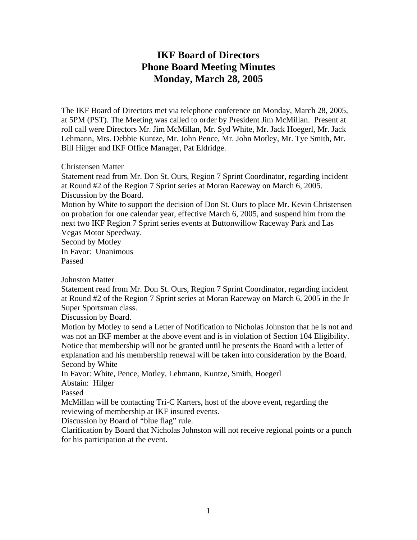## **IKF Board of Directors Phone Board Meeting Minutes Monday, March 28, 2005**

The IKF Board of Directors met via telephone conference on Monday, March 28, 2005, at 5PM (PST). The Meeting was called to order by President Jim McMillan. Present at roll call were Directors Mr. Jim McMillan, Mr. Syd White, Mr. Jack Hoegerl, Mr. Jack Lehmann, Mrs. Debbie Kuntze, Mr. John Pence, Mr. John Motley, Mr. Tye Smith, Mr. Bill Hilger and IKF Office Manager, Pat Eldridge.

Christensen Matter

Statement read from Mr. Don St. Ours, Region 7 Sprint Coordinator, regarding incident at Round #2 of the Region 7 Sprint series at Moran Raceway on March 6, 2005. Discussion by the Board.

Motion by White to support the decision of Don St. Ours to place Mr. Kevin Christensen on probation for one calendar year, effective March 6, 2005, and suspend him from the next two IKF Region 7 Sprint series events at Buttonwillow Raceway Park and Las Vegas Motor Speedway.

Second by Motley In Favor: Unanimous Passed

Johnston Matter

Statement read from Mr. Don St. Ours, Region 7 Sprint Coordinator, regarding incident at Round #2 of the Region 7 Sprint series at Moran Raceway on March 6, 2005 in the Jr Super Sportsman class.

Discussion by Board.

Motion by Motley to send a Letter of Notification to Nicholas Johnston that he is not and was not an IKF member at the above event and is in violation of Section 104 Eligibility. Notice that membership will not be granted until he presents the Board with a letter of explanation and his membership renewal will be taken into consideration by the Board. Second by White

In Favor: White, Pence, Motley, Lehmann, Kuntze, Smith, Hoegerl

Abstain: Hilger

Passed

McMillan will be contacting Tri-C Karters, host of the above event, regarding the reviewing of membership at IKF insured events.

Discussion by Board of "blue flag" rule.

Clarification by Board that Nicholas Johnston will not receive regional points or a punch for his participation at the event.